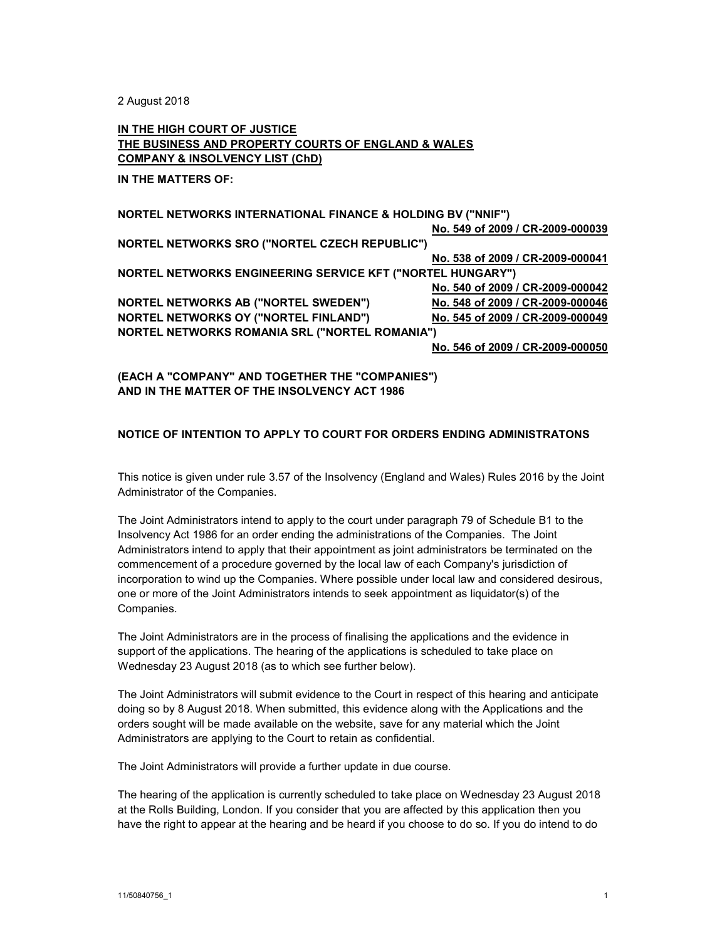2 August 2018

## IN THE HIGH COURT OF JUSTICE THE BUSINESS AND PROPERTY COURTS OF ENGLAND & WALES COMPANY & INSOLVENCY LIST (ChD)

IN THE MATTERS OF:

| <b>NORTEL NETWORKS INTERNATIONAL FINANCE &amp; HOLDING BV ("NNIF")</b> |                                  |
|------------------------------------------------------------------------|----------------------------------|
|                                                                        | No. 549 of 2009 / CR-2009-000039 |
| <b>NORTEL NETWORKS SRO ("NORTEL CZECH REPUBLIC")</b>                   |                                  |
|                                                                        | No. 538 of 2009 / CR-2009-000041 |
| <b>NORTEL NETWORKS ENGINEERING SERVICE KFT ("NORTEL HUNGARY")</b>      |                                  |
|                                                                        | No. 540 of 2009 / CR-2009-000042 |
| <b>NORTEL NETWORKS AB ("NORTEL SWEDEN")</b>                            | No. 548 of 2009 / CR-2009-000046 |
| <b>NORTEL NETWORKS OY ("NORTEL FINLAND")</b>                           | No. 545 of 2009 / CR-2009-000049 |
| <b>NORTEL NETWORKS ROMANIA SRL ("NORTEL ROMANIA")</b>                  |                                  |
|                                                                        | No. 546 of 2009 / CR-2009-000050 |

(EACH A "COMPANY" AND TOGETHER THE "COMPANIES") AND IN THE MATTER OF THE INSOLVENCY ACT 1986

## NOTICE OF INTENTION TO APPLY TO COURT FOR ORDERS ENDING ADMINISTRATONS

This notice is given under rule 3.57 of the Insolvency (England and Wales) Rules 2016 by the Joint Administrator of the Companies.

The Joint Administrators intend to apply to the court under paragraph 79 of Schedule B1 to the Insolvency Act 1986 for an order ending the administrations of the Companies. The Joint Administrators intend to apply that their appointment as joint administrators be terminated on the commencement of a procedure governed by the local law of each Company's jurisdiction of incorporation to wind up the Companies. Where possible under local law and considered desirous, one or more of the Joint Administrators intends to seek appointment as liquidator(s) of the Companies.

The Joint Administrators are in the process of finalising the applications and the evidence in support of the applications. The hearing of the applications is scheduled to take place on Wednesday 23 August 2018 (as to which see further below).

The Joint Administrators will submit evidence to the Court in respect of this hearing and anticipate doing so by 8 August 2018. When submitted, this evidence along with the Applications and the orders sought will be made available on the website, save for any material which the Joint Administrators are applying to the Court to retain as confidential.

The Joint Administrators will provide a further update in due course.

The hearing of the application is currently scheduled to take place on Wednesday 23 August 2018 at the Rolls Building, London. If you consider that you are affected by this application then you have the right to appear at the hearing and be heard if you choose to do so. If you do intend to do